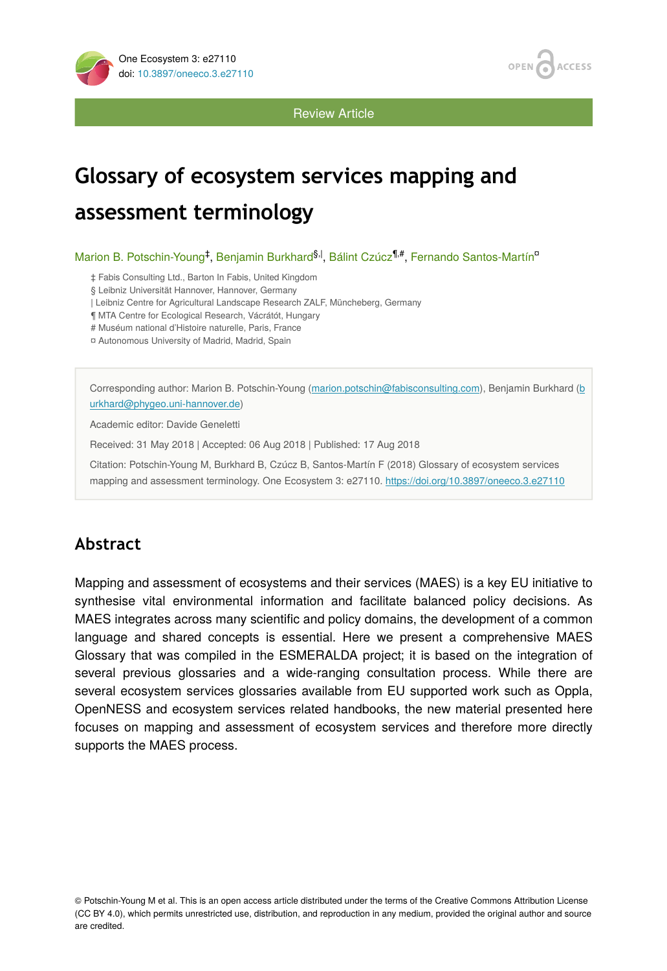

**OPEN ACCESS** 

Review Article

# **Glossary of ecosystem services mapping and assessment terminology**

Marion B. Potschin-Young<sup>‡</sup>, Benjamin Burkhard<sup>§, |</sup>, Bálint Czúcz<sup>¶,#</sup>, Fernando Santos-Martín<sup>o</sup>

‡ Fabis Consulting Ltd., Barton In Fabis, United Kingdom

§ Leibniz Universität Hannover, Hannover, Germany

| Leibniz Centre for Agricultural Landscape Research ZALF, Müncheberg, Germany

¶ MTA Centre for Ecological Research, Vácrátót, Hungary

# Muséum national d'Histoire naturelle, Paris, France

¤ Autonomous University of Madrid, Madrid, Spain

Corresponding author: Marion B. Potschin-Young [\(marion.potschin@fabisconsulting.com](mailto:marion.potschin@fabisconsulting.com)), Benjamin Burkhard [\(b](mailto:burkhard@phygeo.uni-hannover.de) [urkhard@phygeo.uni-hannover.de](mailto:burkhard@phygeo.uni-hannover.de))

Academic editor: Davide Geneletti

Received: 31 May 2018 | Accepted: 06 Aug 2018 | Published: 17 Aug 2018

Citation: Potschin-Young M, Burkhard B, Czúcz B, Santos-Martín F (2018) Glossary of ecosystem services mapping and assessment terminology. One Ecosystem 3: e27110.<https://doi.org/10.3897/oneeco.3.e27110>

## **Abstract**

Mapping and assessment of ecosystems and their services (MAES) is a key EU initiative to synthesise vital environmental information and facilitate balanced policy decisions. As MAES integrates across many scientific and policy domains, the development of a common language and shared concepts is essential. Here we present a comprehensive MAES Glossary that was compiled in the ESMERALDA project; it is based on the integration of several previous glossaries and a wide-ranging consultation process. While there are several ecosystem services glossaries available from EU supported work such as Oppla, OpenNESS and ecosystem services related handbooks, the new material presented here focuses on mapping and assessment of ecosystem services and therefore more directly supports the MAES process.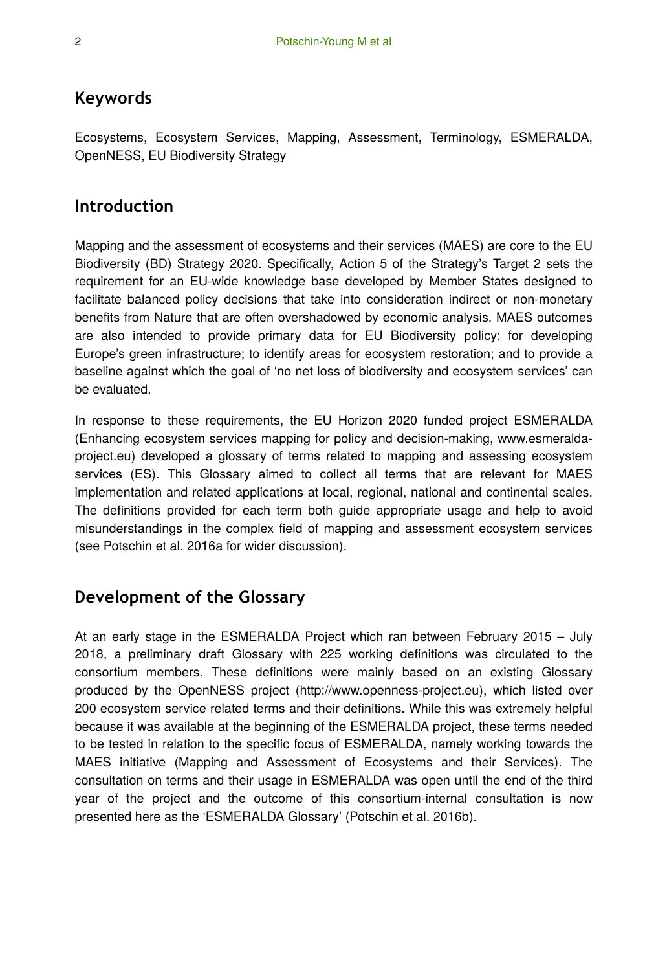#### **Keywords**

Ecosystems, Ecosystem Services, Mapping, Assessment, Terminology, ESMERALDA, OpenNESS, EU Biodiversity Strategy

#### **Introduction**

Mapping and the assessment of ecosystems and their services (MAES) are core to the EU Biodiversity (BD) Strategy 2020. Specifically, Action 5 of the Strategy's Target 2 sets the requirement for an EU-wide knowledge base developed by Member States designed to facilitate balanced policy decisions that take into consideration indirect or non-monetary benefits from Nature that are often overshadowed by economic analysis. MAES outcomes are also intended to provide primary data for EU Biodiversity policy: for developing Europe's green infrastructure; to identify areas for ecosystem restoration; and to provide a baseline against which the goal of 'no net loss of biodiversity and ecosystem services' can be evaluated.

In response to these requirements, the EU Horizon 2020 funded project ESMERALDA (Enhancing ecosystem services mapping for policy and decision-making, www.esmeraldaproject.eu) developed a glossary of terms related to mapping and assessing ecosystem services (ES). This Glossary aimed to collect all terms that are relevant for MAES implementation and related applications at local, regional, national and continental scales. The definitions provided for each term both guide appropriate usage and help to avoid misunderstandings in the complex field of mapping and assessment ecosystem services (see Potschin et al. 2016a for wider discussion).

### **Development of the Glossary**

At an early stage in the ESMERALDA Project which ran between February 2015 – July 2018, a preliminary draft Glossary with 225 working definitions was circulated to the consortium members. These definitions were mainly based on an existing Glossary produced by the OpenNESS project (http://www.openness-project.eu), which listed over 200 ecosystem service related terms and their definitions. While this was extremely helpful because it was available at the beginning of the ESMERALDA project, these terms needed to be tested in relation to the specific focus of ESMERALDA, namely working towards the MAES initiative (Mapping and Assessment of Ecosystems and their Services). The consultation on terms and their usage in ESMERALDA was open until the end of the third year of the project and the outcome of this consortium-internal consultation is now presented here as the 'ESMERALDA Glossary' (Potschin et al. 2016b).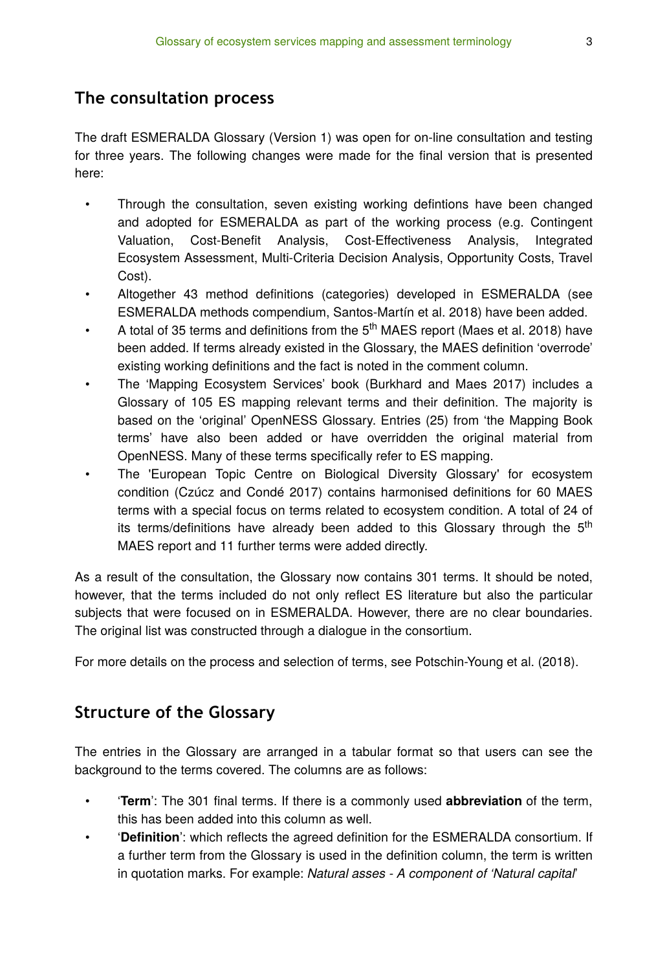#### **The consultation process**

The draft ESMERALDA Glossary (Version 1) was open for on-line consultation and testing for three years. The following changes were made for the final version that is presented here:

- Through the consultation, seven existing working defintions have been changed and adopted for ESMERALDA as part of the working process (e.g. Contingent Valuation, Cost-Benefit Analysis, Cost-Effectiveness Analysis, Integrated Ecosystem Assessment, Multi-Criteria Decision Analysis, Opportunity Costs, Travel Cost).
- Altogether 43 method definitions (categories) developed in ESMERALDA (see ESMERALDA methods compendium, Santos-Martín et al. 2018) have been added.
- A total of 35 terms and definitions from the  $5<sup>th</sup>$  MAES report (Maes et al. 2018) have been added. If terms already existed in the Glossary, the MAES definition 'overrode' existing working definitions and the fact is noted in the comment column.
- The 'Mapping Ecosystem Services' book (Burkhard and Maes 2017) includes a Glossary of 105 ES mapping relevant terms and their definition. The majority is based on the 'original' OpenNESS Glossary. Entries (25) from 'the Mapping Book terms' have also been added or have overridden the original material from OpenNESS. Many of these terms specifically refer to ES mapping.
- The 'European Topic Centre on Biological Diversity Glossary' for ecosystem condition (Czúcz and Condé 2017) contains harmonised definitions for 60 MAES terms with a special focus on terms related to ecosystem condition. A total of 24 of its terms/definitions have already been added to this Glossary through the 5<sup>th</sup> MAES report and 11 further terms were added directly.

As a result of the consultation, the Glossary now contains 301 terms. It should be noted, however, that the terms included do not only reflect ES literature but also the particular subjects that were focused on in ESMERALDA. However, there are no clear boundaries. The original list was constructed through a dialogue in the consortium.

For more details on the process and selection of terms, see Potschin-Young et al. (2018).

#### **Structure of the Glossary**

The entries in the Glossary are arranged in a tabular format so that users can see the background to the terms covered. The columns are as follows:

- '**Term**': The 301 final terms. If there is a commonly used **abbreviation** of the term, this has been added into this column as well.
- '**Definition**': which reflects the agreed definition for the ESMERALDA consortium. If a further term from the Glossary is used in the definition column, the term is written in quotation marks. For example: *Natural asses - A component of 'Natural capital*'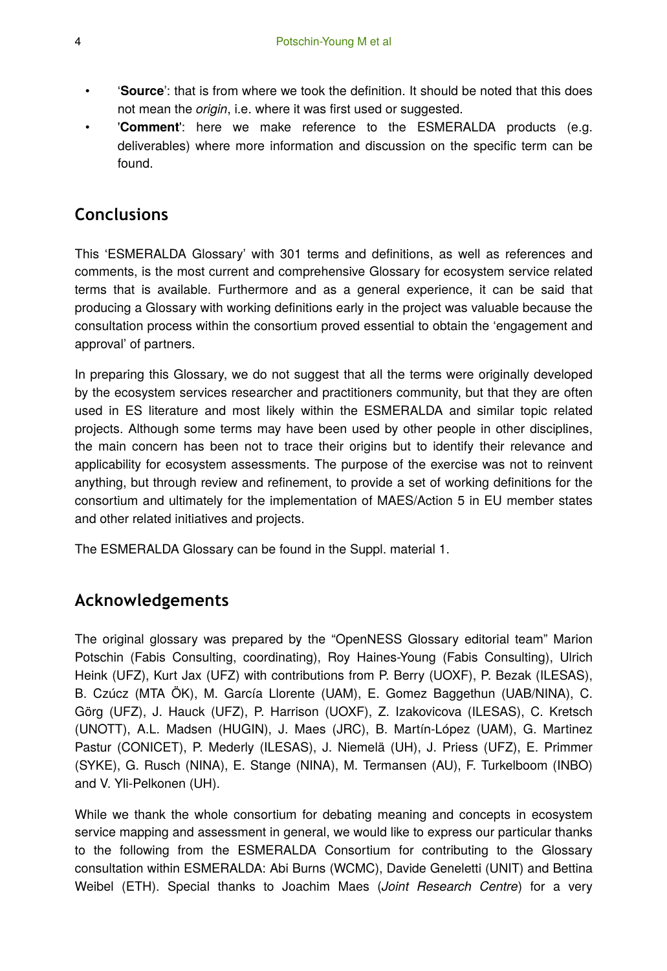- '**Source**': that is from where we took the definition. It should be noted that this does not mean the *origin*, i.e. where it was first used or suggested.
- '**Comment**': here we make reference to the ESMERALDA products (e.g. deliverables) where more information and discussion on the specific term can be found.

#### **Conclusions**

This 'ESMERALDA Glossary' with 301 terms and definitions, as well as references and comments, is the most current and comprehensive Glossary for ecosystem service related terms that is available. Furthermore and as a general experience, it can be said that producing a Glossary with working definitions early in the project was valuable because the consultation process within the consortium proved essential to obtain the 'engagement and approval' of partners.

In preparing this Glossary, we do not suggest that all the terms were originally developed by the ecosystem services researcher and practitioners community, but that they are often used in ES literature and most likely within the ESMERALDA and similar topic related projects. Although some terms may have been used by other people in other disciplines, the main concern has been not to trace their origins but to identify their relevance and applicability for ecosystem assessments. The purpose of the exercise was not to reinvent anything, but through review and refinement, to provide a set of working definitions for the consortium and ultimately for the implementation of MAES/Action 5 in EU member states and other related initiatives and projects.

The ESMERALDA Glossary can be found in the Suppl. material 1.

#### **Acknowledgements**

The original glossary was prepared by the "OpenNESS Glossary editorial team" Marion Potschin (Fabis Consulting, coordinating), Roy Haines-Young (Fabis Consulting), Ulrich Heink (UFZ), Kurt Jax (UFZ) with contributions from P. Berry (UOXF), P. Bezak (ILESAS), B. Czúcz (MTA ÖK), M. García Llorente (UAM), E. Gomez Baggethun (UAB/NINA), C. Görg (UFZ), J. Hauck (UFZ), P. Harrison (UOXF), Z. Izakovicova (ILESAS), C. Kretsch (UNOTT), A.L. Madsen (HUGIN), J. Maes (JRC), B. Martín-López (UAM), G. Martinez Pastur (CONICET), P. Mederly (ILESAS), J. Niemelä (UH), J. Priess (UFZ), E. Primmer (SYKE), G. Rusch (NINA), E. Stange (NINA), M. Termansen (AU), F. Turkelboom (INBO) and V. Yli-Pelkonen (UH).

While we thank the whole consortium for debating meaning and concepts in ecosystem service mapping and assessment in general, we would like to express our particular thanks to the following from the ESMERALDA Consortium for contributing to the Glossary consultation within ESMERALDA: Abi Burns (WCMC), Davide Geneletti (UNIT) and Bettina Weibel (ETH). Special thanks to Joachim Maes (*Joint Research Centre*) for a very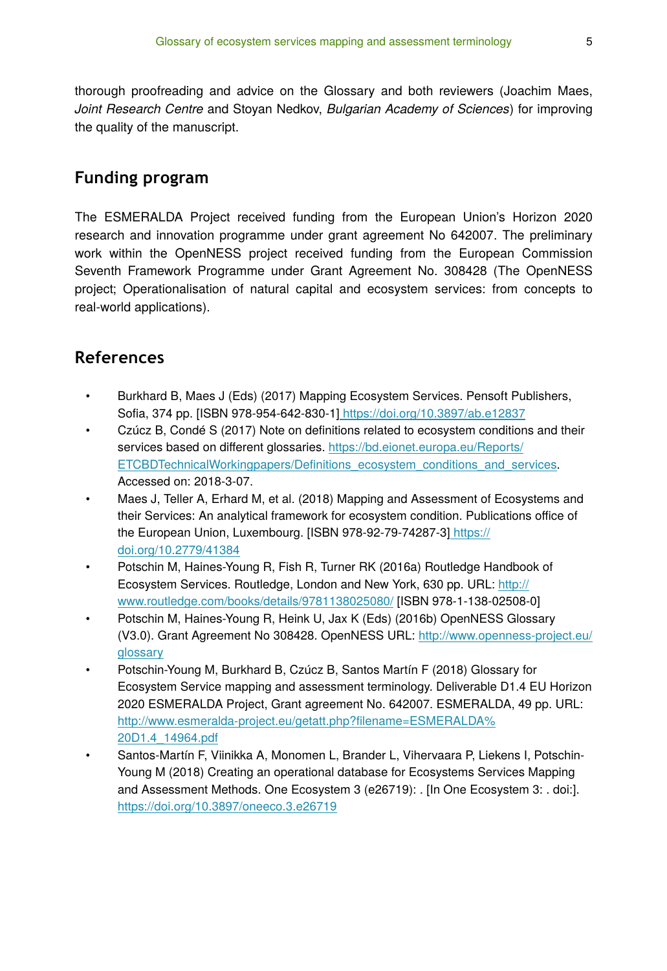thorough proofreading and advice on the Glossary and both reviewers (Joachim Maes, *Joint Research Centre* and Stoyan Nedkov, *Bulgarian Academy of Sciences*) for improving the quality of the manuscript.

#### **Funding program**

The ESMERALDA Project received funding from the European Union's Horizon 2020 research and innovation programme under grant agreement No 642007. The preliminary work within the OpenNESS project received funding from the European Commission Seventh Framework Programme under Grant Agreement No. 308428 (The OpenNESS project; Operationalisation of natural capital and ecosystem services: from concepts to real-world applications).

#### **References**

- Burkhard B, Maes J (Eds) (2017) Mapping Ecosystem Services. Pensoft Publishers, Sofia, 374 pp. [ISBN 978-954-642-830-1]<https://doi.org/10.3897/ab.e12837>
- Czúcz B, Condé S (2017) Note on definitions related to ecosystem conditions and their services based on different glossaries. [https://bd.eionet.europa.eu/Reports/](https://bd.eionet.europa.eu/Reports/ETCBDTechnicalWorkingpapers/Definitions_ecosystem_conditions_and_services) ETCBDTechnicalWorkingpapers/Defi[nitions\\_ecosystem\\_conditions\\_and\\_services](https://bd.eionet.europa.eu/Reports/ETCBDTechnicalWorkingpapers/Definitions_ecosystem_conditions_and_services). Accessed on: 2018-3-07.
- Maes J, Teller A, Erhard M, et al. (2018) Mapping and Assessment of Ecosystems and their Services: An analytical framework for ecosystem condition. Publications office of the European Union, Luxembourg. [ISBN 978-92-79-74287-3[\] https://](https://doi.org/10.2779/41384) [doi.org/10.2779/41384](https://doi.org/10.2779/41384)
- Potschin M, Haines-Young R, Fish R, Turner RK (2016a) Routledge Handbook of Ecosystem Services. Routledge, London and New York, 630 pp. URL: [http://](http://www.routledge.com/books/details/9781138025080/) [www.routledge.com/books/details/9781138025080/](http://www.routledge.com/books/details/9781138025080/) [ISBN 978-1-138-02508-0]
- Potschin M, Haines-Young R, Heink U, Jax K (Eds) (2016b) OpenNESS Glossary (V3.0). Grant Agreement No 308428. OpenNESS URL: [http://www.openness-project.eu/](http://www.openness-project.eu/glossary) [glossary](http://www.openness-project.eu/glossary)
- Potschin-Young M, Burkhard B, Czúcz B, Santos Martín F (2018) Glossary for Ecosystem Service mapping and assessment terminology. Deliverable D1.4 EU Horizon 2020 ESMERALDA Project, Grant agreement No. 642007. ESMERALDA, 49 pp. URL: [http://www.esmeralda-project.eu/getatt.php?](http://www.esmeralda-project.eu/getatt.php?filename=ESMERALDA%20D1.4_14964.pdf)filename=ESMERALDA% [20D1.4\\_14964.pdf](http://www.esmeralda-project.eu/getatt.php?filename=ESMERALDA%20D1.4_14964.pdf)
- Santos-Martín F, Viinikka A, Monomen L, Brander L, Vihervaara P, Liekens I, Potschin-Young M (2018) Creating an operational database for Ecosystems Services Mapping and Assessment Methods. One Ecosystem 3 (e26719): . [In One Ecosystem 3: . doi:]. <https://doi.org/10.3897/oneeco.3.e26719>